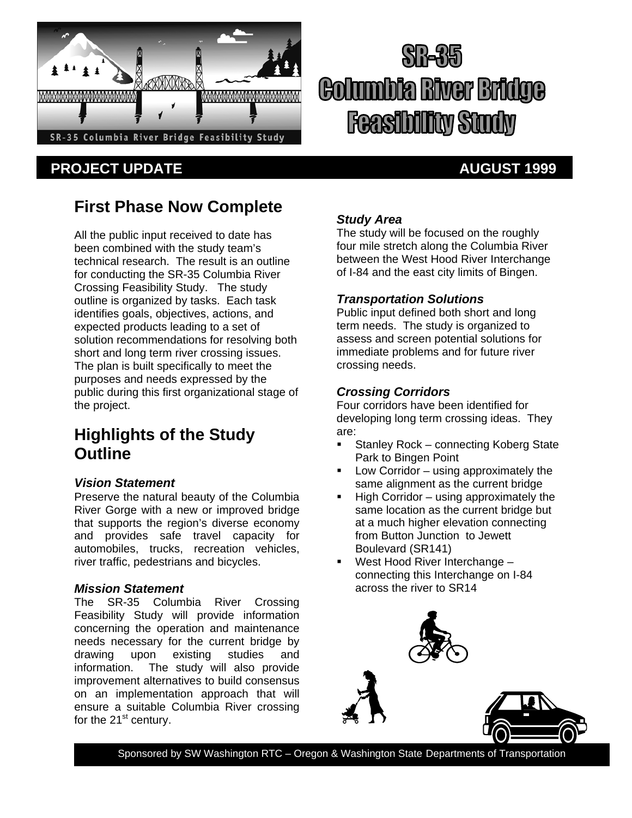

# **PROJECT UPDATE AUGUST 1999**

# Golumbia River Bridge **Feasibility Study**

# **First Phase Now Complete**

All the public input received to date has been combined with the study team's technical research. The result is an outline for conducting the SR-35 Columbia River Crossing Feasibility Study. The study outline is organized by tasks. Each task identifies goals, objectives, actions, and expected products leading to a set of solution recommendations for resolving both short and long term river crossing issues. The plan is built specifically to meet the purposes and needs expressed by the public during this first organizational stage of the project.

# **Highlights of the Study Outline**

#### *Vision Statement*

Preserve the natural beauty of the Columbia River Gorge with a new or improved bridge that supports the region's diverse economy and provides safe travel capacity for automobiles, trucks, recreation vehicles, river traffic, pedestrians and bicycles.

#### *Mission Statement*

The SR-35 Columbia River Crossing Feasibility Study will provide information concerning the operation and maintenance needs necessary for the current bridge by drawing upon existing studies and information. The study will also provide improvement alternatives to build consensus on an implementation approach that will ensure a suitable Columbia River crossing for the  $21<sup>st</sup>$  century.

#### *Study Area*

The study will be focused on the roughly four mile stretch along the Columbia River between the West Hood River Interchange of I-84 and the east city limits of Bingen.

#### *Transportation Solutions*

Public input defined both short and long term needs. The study is organized to assess and screen potential solutions for immediate problems and for future river crossing needs.

#### *Crossing Corridors*

Four corridors have been identified for developing long term crossing ideas. They are:

- **Stanley Rock connecting Koberg State** Park to Bingen Point
- **Low Corridor** using approximately the same alignment as the current bridge
- $\blacksquare$  High Corridor using approximately the same location as the current bridge but at a much higher elevation connecting from Button Junction to Jewett Boulevard (SR141)
- West Hood River Interchange connecting this Interchange on I-84 across the river to SR14



Sponsored by SW Washington RTC – Oregon & Washington State Departments of Transportation